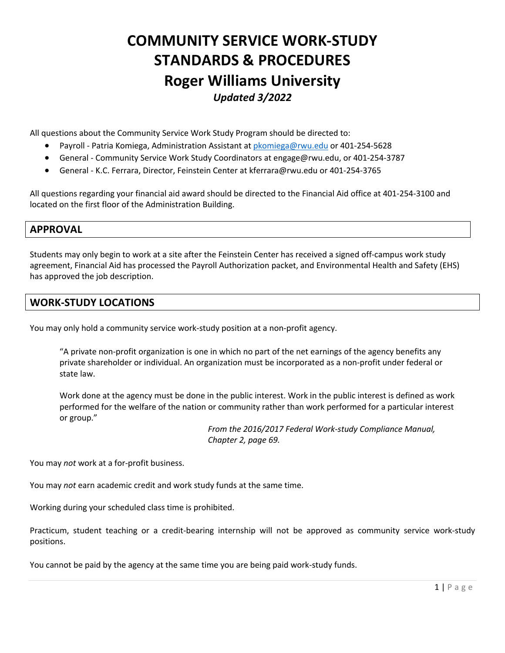# **COMMUNITY SERVICE WORK-STUDY STANDARDS & PROCEDURES Roger Williams University**  *Updated 3/2022*

All questions about the Community Service Work Study Program should be directed to:

- Payroll Patria Komiega, Administration Assistant at pkomiega@rwu.edu or 401-254-5628
- General Community Service Work Study Coordinators at engage@rwu.edu, or 401-254-3787
- General K.C. Ferrara, Director, Feinstein Center at kferrara@rwu.edu or 401-254-3765

All questions regarding your financial aid award should be directed to the Financial Aid office at 401-254-3100 and located on the first floor of the Administration Building.

## **APPROVAL**

Students may only begin to work at a site after the Feinstein Center has received a signed off-campus work study agreement, Financial Aid has processed the Payroll Authorization packet, and Environmental Health and Safety (EHS) has approved the job description.

## **WORK-STUDY LOCATIONS**

You may only hold a community service work-study position at a non-profit agency.

"A private non-profit organization is one in which no part of the net earnings of the agency benefits any private shareholder or individual. An organization must be incorporated as a non-profit under federal or state law.

Work done at the agency must be done in the public interest. Work in the public interest is defined as work performed for the welfare of the nation or community rather than work performed for a particular interest or group."

> *From the 2016/2017 Federal Work-study Compliance Manual, Chapter 2, page 69.*

You may *not* work at a for-profit business.

You may *not* earn academic credit and work study funds at the same time.

Working during your scheduled class time is prohibited.

Practicum, student teaching or a credit-bearing internship will not be approved as community service work-study positions.

You cannot be paid by the agency at the same time you are being paid work-study funds.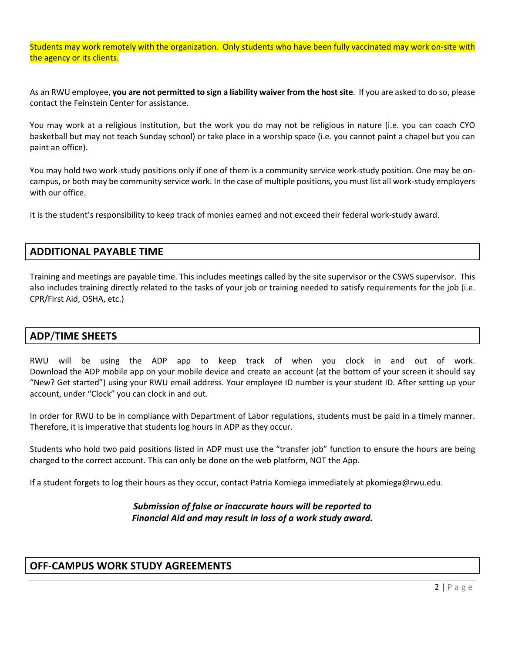Students may work remotely with the organization. Only students who have been fully vaccinated may work on-site with the agency or its clients.

As an RWU employee, **you are not permitted to sign a liability waiver from the host site**. If you are asked to do so, please contact the Feinstein Center for assistance.

You may work at a religious institution, but the work you do may not be religious in nature (i.e. you can coach CYO basketball but may not teach Sunday school) or take place in a worship space (i.e. you cannot paint a chapel but you can paint an office).

You may hold two work-study positions only if one of them is a community service work-study position. One may be oncampus, or both may be community service work. In the case of multiple positions, you must list all work-study employers with our office.

It is the student's responsibility to keep track of monies earned and not exceed their federal work-study award.

#### **ADDITIONAL PAYABLE TIME**

Training and meetings are payable time. This includes meetings called by the site supervisor or the CSWS supervisor. This also includes training directly related to the tasks of your job or training needed to satisfy requirements for the job (i.e. CPR/First Aid, OSHA, etc.)

## **ADP**/**TIME SHEETS**

RWU will be using the ADP app to keep track of when you clock in and out of work. Download the ADP mobile app on your mobile device and create an account (at the bottom of your screen it should say "New? Get started") using your RWU email address. Your employee ID number is your student ID. After setting up your account, under "Clock" you can clock in and out.

In order for RWU to be in compliance with Department of Labor regulations, students must be paid in a timely manner. Therefore, it is imperative that students log hours in ADP as they occur.

Students who hold two paid positions listed in ADP must use the "transfer job" function to ensure the hours are being charged to the correct account. This can only be done on the web platform, NOT the App.

If a student forgets to log their hours as they occur, contact Patria Komiega immediately at pkomiega@rwu.edu.

#### *Submission of false or inaccurate hours will be reported to Financial Aid and may result in loss of a work study award.*

# **OFF-CAMPUS WORK STUDY AGREEMENTS**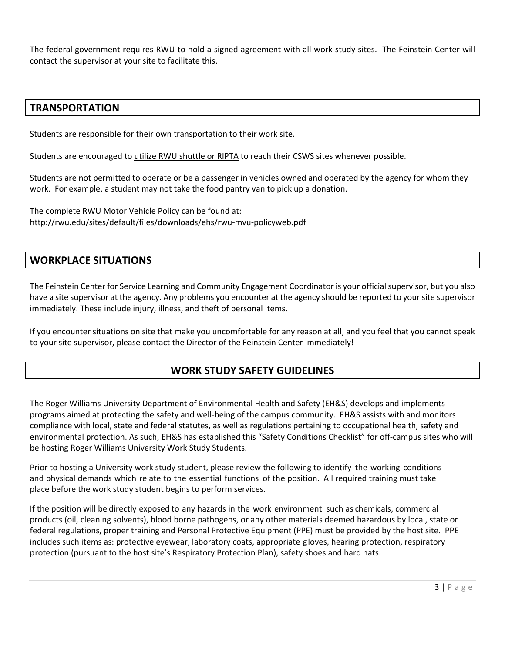The federal government requires RWU to hold a signed agreement with all work study sites. The Feinstein Center will contact the supervisor at your site to facilitate this.

## **TRANSPORTATION**

Students are responsible for their own transportation to their work site.

Students are encouraged to utilize RWU shuttle or RIPTA to reach their CSWS sites whenever possible.

Students are not permitted to operate or be a passenger in vehicles owned and operated by the agency for whom they work. For example, a student may not take the food pantry van to pick up a donation.

The complete RWU Motor Vehicle Policy can be found at: http://rwu.edu/sites/default/files/downloads/ehs/rwu-mvu-policyweb.pdf

## **WORKPLACE SITUATIONS**

The Feinstein Center for Service Learning and Community Engagement Coordinator is your official supervisor, but you also have a site supervisor at the agency. Any problems you encounter at the agency should be reported to your site supervisor immediately. These include injury, illness, and theft of personal items.

If you encounter situations on site that make you uncomfortable for any reason at all, and you feel that you cannot speak to your site supervisor, please contact the Director of the Feinstein Center immediately!

# **WORK STUDY SAFETY GUIDELINES**

The Roger Williams University Department of Environmental Health and Safety (EH&S) develops and implements programs aimed at protecting the safety and well-being of the campus community. EH&S assists with and monitors compliance with local, state and federal statutes, as well as regulations pertaining to occupational health, safety and environmental protection. As such, EH&S has established this "Safety Conditions Checklist" for off-campus sites who will be hosting Roger Williams University Work Study Students.

Prior to hosting a University work study student, please review the following to identify the working conditions and physical demands which relate to the essential functions of the position. All required training must take place before the work study student begins to perform services.

If the position will be directly exposed to any hazards in the work environment such as chemicals, commercial products (oil, cleaning solvents), blood borne pathogens, or any other materials deemed hazardous by local, state or federal regulations, proper training and Personal Protective Equipment (PPE) must be provided by the host site. PPE includes such items as: protective eyewear, laboratory coats, appropriate gloves, hearing protection, respiratory protection (pursuant to the host site's Respiratory Protection Plan), safety shoes and hard hats.